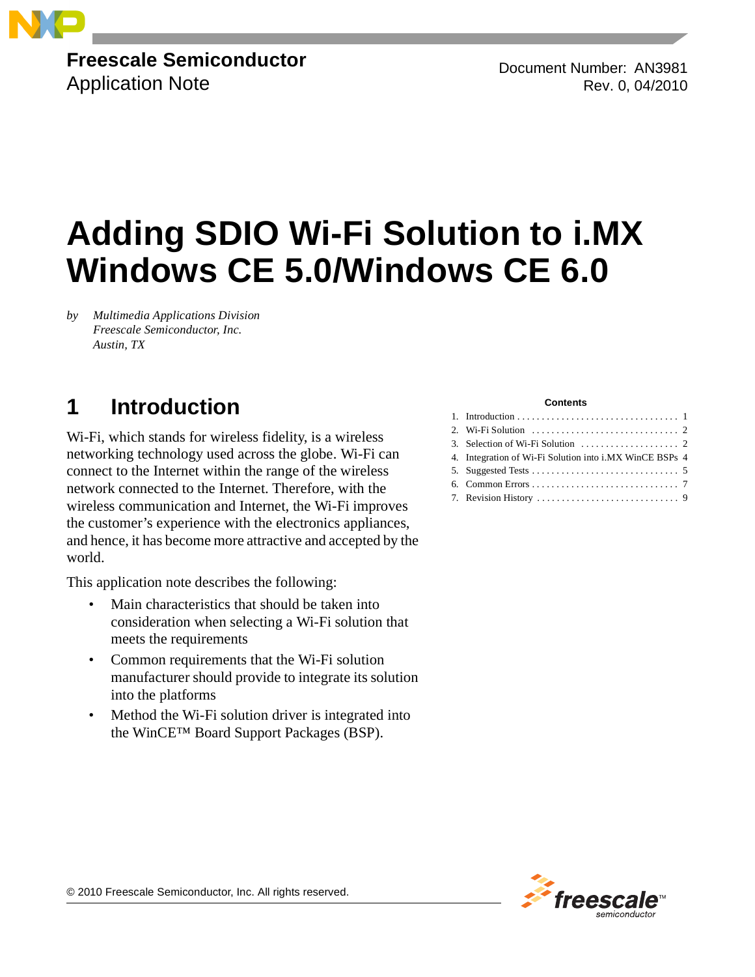

## **Freescale Semiconductor** Application Note

Document Number: AN3981 Rev. 0, 04/2010

# **Adding SDIO Wi-Fi Solution to i.MX Windows CE 5.0/Windows CE 6.0**

*by Multimedia Applications Division Freescale Semiconductor, Inc. Austin, TX*

## <span id="page-0-0"></span>**1 Introduction**

Wi-Fi, which stands for wireless fidelity, is a wireless networking technology used across the globe. Wi-Fi can connect to the Internet within the range of the wireless network connected to the Internet. Therefore, with the wireless communication and Internet, the Wi-Fi improves the customer's experience with the electronics appliances, and hence, it has become more attractive and accepted by the world.

This application note describes the following:

- Main characteristics that should be taken into consideration when selecting a Wi-Fi solution that meets the requirements
- Common requirements that the Wi-Fi solution manufacturer should provide to integrate its solution into the platforms
- Method the Wi-Fi solution driver is integrated into the WinCE™ Board Support Packages (BSP).

#### **Contents**

| 3. Selection of Wi-Fi Solution $\dots \dots \dots \dots \dots \dots$ 2 |  |
|------------------------------------------------------------------------|--|
| 4. Integration of Wi-Fi Solution into i.MX WinCE BSPs 4                |  |
|                                                                        |  |
|                                                                        |  |
|                                                                        |  |

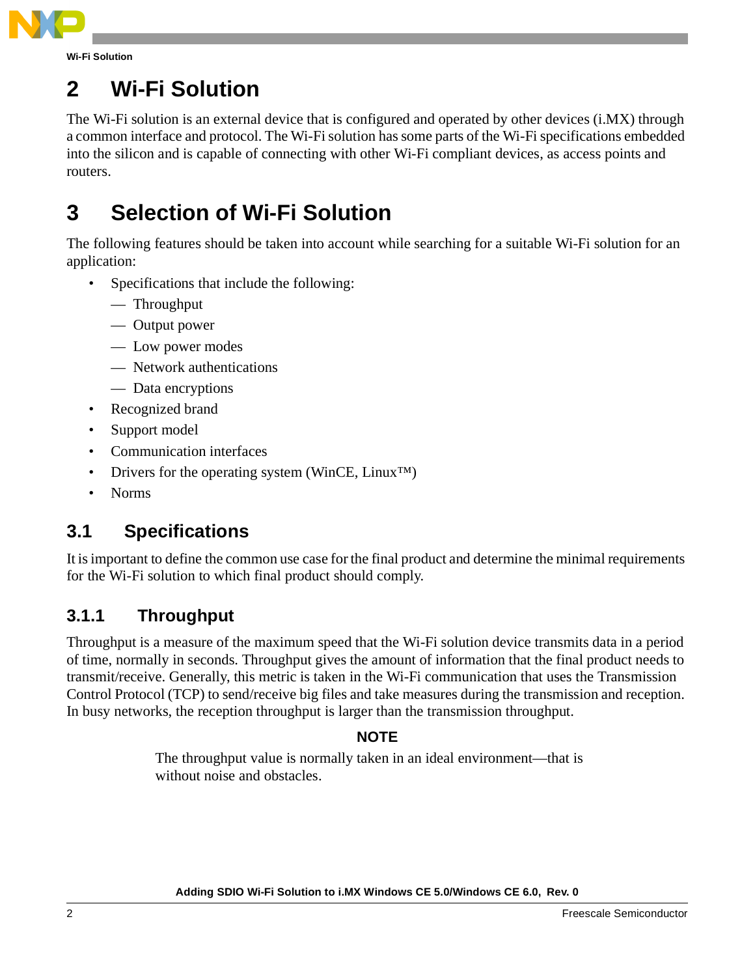

## <span id="page-1-1"></span>**2 Wi-Fi Solution**

The Wi-Fi solution is an external device that is configured and operated by other devices (i.MX) through a common interface and protocol. The Wi-Fi solution has some parts of the Wi-Fi specifications embedded into the silicon and is capable of connecting with other Wi-Fi compliant devices, as access points and routers.

## <span id="page-1-0"></span>**3 Selection of Wi-Fi Solution**

The following features should be taken into account while searching for a suitable Wi-Fi solution for an application:

- Specifications that include the following:
	- Throughput
	- Output power
	- Low power modes
	- Network authentications
	- Data encryptions
- Recognized brand
- Support model
- Communication interfaces
- Drivers for the operating system (WinCE, Linux<sup>™)</sup>
- Norms

## **3.1 Specifications**

It is important to define the common use case for the final product and determine the minimal requirements for the Wi-Fi solution to which final product should comply.

## **3.1.1 Throughput**

Throughput is a measure of the maximum speed that the Wi-Fi solution device transmits data in a period of time, normally in seconds. Throughput gives the amount of information that the final product needs to transmit/receive. Generally, this metric is taken in the Wi-Fi communication that uses the Transmission Control Protocol (TCP) to send/receive big files and take measures during the transmission and reception. In busy networks, the reception throughput is larger than the transmission throughput.

### **NOTE**

The throughput value is normally taken in an ideal environment—that is without noise and obstacles.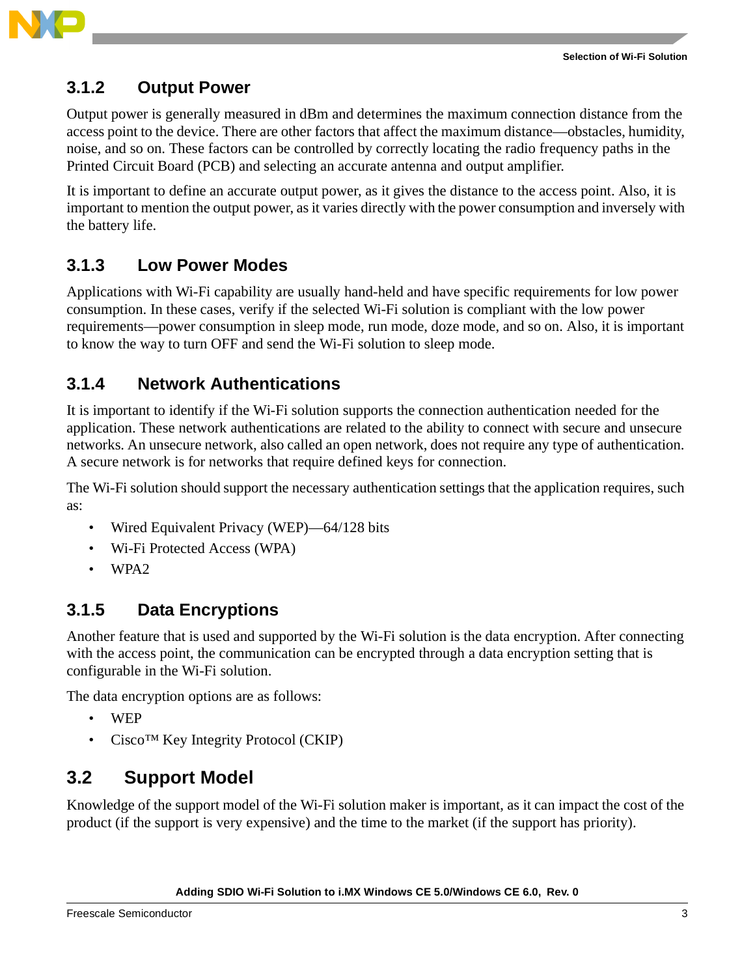



### **3.1.2 Output Power**

Output power is generally measured in dBm and determines the maximum connection distance from the access point to the device. There are other factors that affect the maximum distance—obstacles, humidity, noise, and so on. These factors can be controlled by correctly locating the radio frequency paths in the Printed Circuit Board (PCB) and selecting an accurate antenna and output amplifier.

It is important to define an accurate output power, as it gives the distance to the access point. Also, it is important to mention the output power, as it varies directly with the power consumption and inversely with the battery life.

## **3.1.3 Low Power Modes**

Applications with Wi-Fi capability are usually hand-held and have specific requirements for low power consumption. In these cases, verify if the selected Wi-Fi solution is compliant with the low power requirements—power consumption in sleep mode, run mode, doze mode, and so on. Also, it is important to know the way to turn OFF and send the Wi-Fi solution to sleep mode.

### **3.1.4 Network Authentications**

It is important to identify if the Wi-Fi solution supports the connection authentication needed for the application. These network authentications are related to the ability to connect with secure and unsecure networks. An unsecure network, also called an open network, does not require any type of authentication. A secure network is for networks that require defined keys for connection.

The Wi-Fi solution should support the necessary authentication settings that the application requires, such as:

- Wired Equivalent Privacy (WEP)—64/128 bits
- Wi-Fi Protected Access (WPA)
- WPA2

### **3.1.5 Data Encryptions**

Another feature that is used and supported by the Wi-Fi solution is the data encryption. After connecting with the access point, the communication can be encrypted through a data encryption setting that is configurable in the Wi-Fi solution.

The data encryption options are as follows:

- WEP
- Cisco<sup>™</sup> Key Integrity Protocol (CKIP)

## **3.2 Support Model**

Knowledge of the support model of the Wi-Fi solution maker is important, as it can impact the cost of the product (if the support is very expensive) and the time to the market (if the support has priority).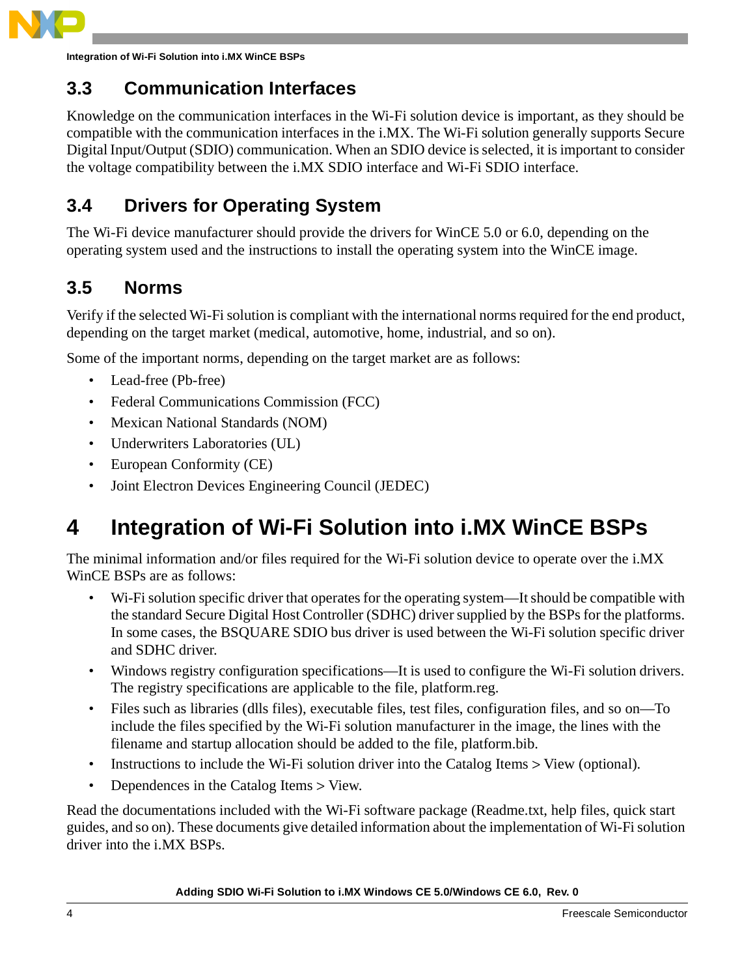

**Integration of Wi-Fi Solution into i.MX WinCE BSPs**

## **3.3 Communication Interfaces**

Knowledge on the communication interfaces in the Wi-Fi solution device is important, as they should be compatible with the communication interfaces in the i.MX. The Wi-Fi solution generally supports Secure Digital Input/Output (SDIO) communication. When an SDIO device is selected, it is important to consider the voltage compatibility between the i.MX SDIO interface and Wi-Fi SDIO interface.

## **3.4 Drivers for Operating System**

The Wi-Fi device manufacturer should provide the drivers for WinCE 5.0 or 6.0, depending on the operating system used and the instructions to install the operating system into the WinCE image.

## **3.5 Norms**

Verify if the selected Wi-Fi solution is compliant with the international norms required for the end product, depending on the target market (medical, automotive, home, industrial, and so on).

Some of the important norms, depending on the target market are as follows:

- Lead-free (Pb-free)
- Federal Communications Commission (FCC)
- Mexican National Standards (NOM)
- Underwriters Laboratories (UL)
- European Conformity (CE)
- Joint Electron Devices Engineering Council (JEDEC)

## <span id="page-3-0"></span>**4 Integration of Wi-Fi Solution into i.MX WinCE BSPs**

The minimal information and/or files required for the Wi-Fi solution device to operate over the i.MX WinCE BSPs are as follows:

- Wi-Fi solution specific driver that operates for the operating system—It should be compatible with the standard Secure Digital Host Controller (SDHC) driver supplied by the BSPs for the platforms. In some cases, the BSQUARE SDIO bus driver is used between the Wi-Fi solution specific driver and SDHC driver.
- Windows registry configuration specifications—It is used to configure the Wi-Fi solution drivers. The registry specifications are applicable to the file, platform.reg.
- Files such as libraries (dlls files), executable files, test files, configuration files, and so on—To include the files specified by the Wi-Fi solution manufacturer in the image, the lines with the filename and startup allocation should be added to the file, platform.bib.
- Instructions to include the Wi-Fi solution driver into the Catalog Items > View (optional).
- Dependences in the Catalog Items > View.

Read the documentations included with the Wi-Fi software package (Readme.txt, help files, quick start guides, and so on). These documents give detailed information about the implementation of Wi-Fi solution driver into the i.MX BSPs.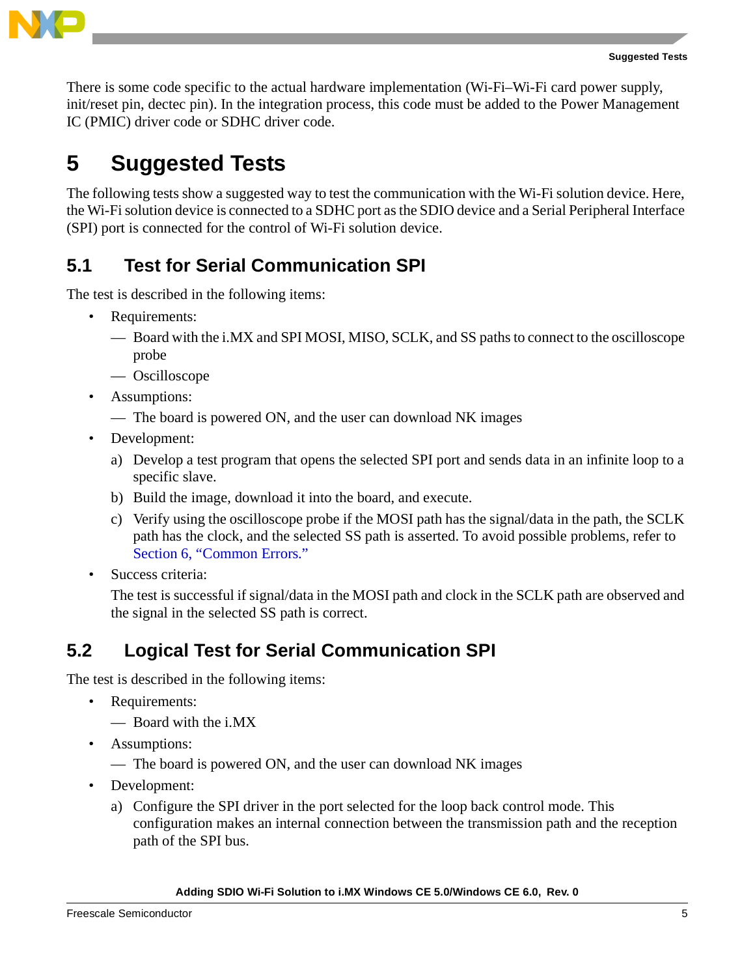

There is some code specific to the actual hardware implementation (Wi-Fi–Wi-Fi card power supply, init/reset pin, dectec pin). In the integration process, this code must be added to the Power Management IC (PMIC) driver code or SDHC driver code.

## <span id="page-4-0"></span>**5 Suggested Tests**

The following tests show a suggested way to test the communication with the Wi-Fi solution device. Here, the Wi-Fi solution device is connected to a SDHC port as the SDIO device and a Serial Peripheral Interface (SPI) port is connected for the control of Wi-Fi solution device.

## **5.1 Test for Serial Communication SPI**

The test is described in the following items:

- Requirements:
	- Board with the i.MX and SPI MOSI, MISO, SCLK, and SS paths to connect to the oscilloscope probe
	- Oscilloscope
- Assumptions:
	- The board is powered ON, and the user can download NK images
- Development:
	- a) Develop a test program that opens the selected SPI port and sends data in an infinite loop to a specific slave.
	- b) Build the image, download it into the board, and execute.
	- c) Verify using the oscilloscope probe if the MOSI path has the signal/data in the path, the SCLK path has the clock, and the selected SS path is asserted. To avoid possible problems, refer to [Section 6, "Common Errors.](#page-6-0)"
- Success criteria:

The test is successful if signal/data in the MOSI path and clock in the SCLK path are observed and the signal in the selected SS path is correct.

## **5.2 Logical Test for Serial Communication SPI**

The test is described in the following items:

- Requirements:
	- Board with the i.MX
- Assumptions:
	- The board is powered ON, and the user can download NK images
- Development:
	- a) Configure the SPI driver in the port selected for the loop back control mode. This configuration makes an internal connection between the transmission path and the reception path of the SPI bus.

### **Adding SDIO Wi-Fi Solution to i.MX Windows CE 5.0/Windows CE 6.0, Rev. 0**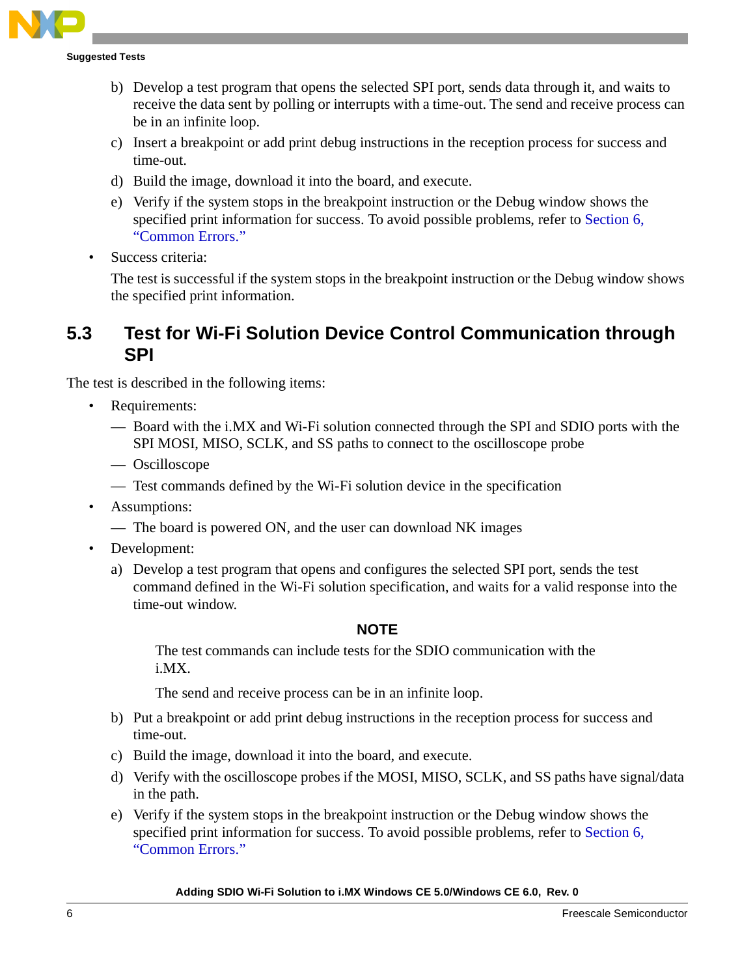

**Suggested Tests**

- b) Develop a test program that opens the selected SPI port, sends data through it, and waits to receive the data sent by polling or interrupts with a time-out. The send and receive process can be in an infinite loop.
- c) Insert a breakpoint or add print debug instructions in the reception process for success and time-out.
- d) Build the image, download it into the board, and execute.
- e) Verify if the system stops in the breakpoint instruction or the Debug window shows the specified print information for success. To avoid possible problems, refer to [Section 6,](#page-6-0)  ["Common Errors](#page-6-0)."
- Success criteria:

The test is successful if the system stops in the breakpoint instruction or the Debug window shows the specified print information.

## **5.3 Test for Wi-Fi Solution Device Control Communication through SPI**

The test is described in the following items:

- Requirements:
	- Board with the i.MX and Wi-Fi solution connected through the SPI and SDIO ports with the SPI MOSI, MISO, SCLK, and SS paths to connect to the oscilloscope probe
	- Oscilloscope
	- Test commands defined by the Wi-Fi solution device in the specification
- Assumptions:
	- The board is powered ON, and the user can download NK images
- Development:
	- a) Develop a test program that opens and configures the selected SPI port, sends the test command defined in the Wi-Fi solution specification, and waits for a valid response into the time-out window.

### **NOTE**

The test commands can include tests for the SDIO communication with the i.MX.

The send and receive process can be in an infinite loop.

- b) Put a breakpoint or add print debug instructions in the reception process for success and time-out.
- c) Build the image, download it into the board, and execute.
- d) Verify with the oscilloscope probes if the MOSI, MISO, SCLK, and SS paths have signal/data in the path.
- e) Verify if the system stops in the breakpoint instruction or the Debug window shows the specified print information for success. To avoid possible problems, refer to [Section 6,](#page-6-0)  ["Common Errors](#page-6-0)."

**Adding SDIO Wi-Fi Solution to i.MX Windows CE 5.0/Windows CE 6.0, Rev. 0**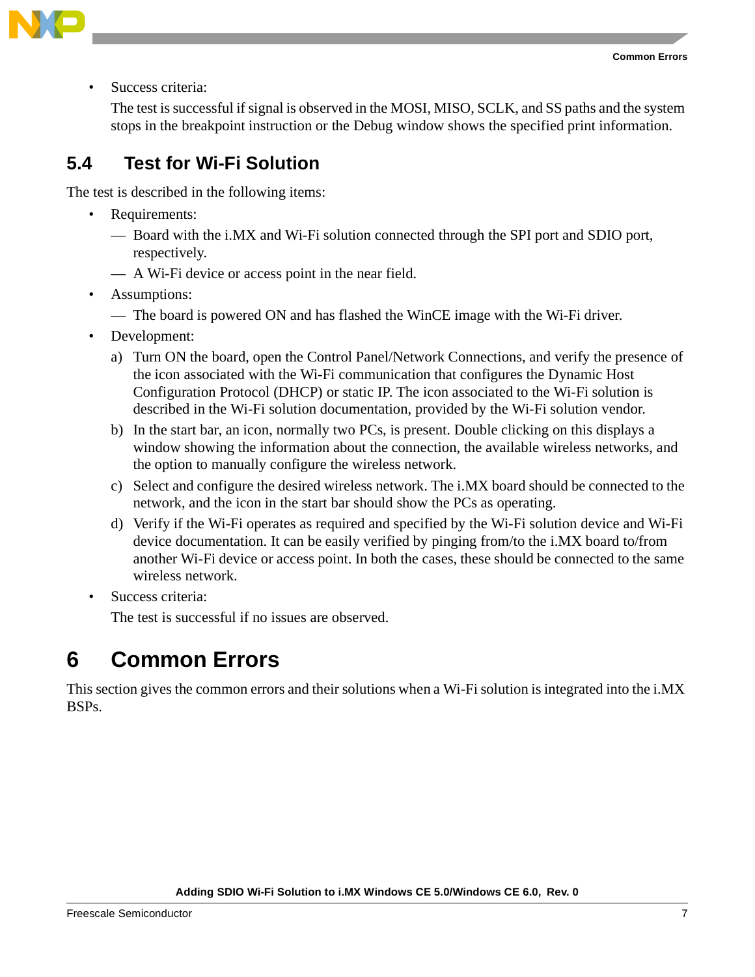



Success criteria:

The test is successful if signal is observed in the MOSI, MISO, SCLK, and SS paths and the system stops in the breakpoint instruction or the Debug window shows the specified print information.

## **5.4 Test for Wi-Fi Solution**

The test is described in the following items:

- Requirements:
	- Board with the i.MX and Wi-Fi solution connected through the SPI port and SDIO port, respectively.
	- A Wi-Fi device or access point in the near field.
- Assumptions:
	- The board is powered ON and has flashed the WinCE image with the Wi-Fi driver.
- Development:
	- a) Turn ON the board, open the Control Panel/Network Connections, and verify the presence of the icon associated with the Wi-Fi communication that configures the Dynamic Host Configuration Protocol (DHCP) or static IP. The icon associated to the Wi-Fi solution is described in the Wi-Fi solution documentation, provided by the Wi-Fi solution vendor.
	- b) In the start bar, an icon, normally two PCs, is present. Double clicking on this displays a window showing the information about the connection, the available wireless networks, and the option to manually configure the wireless network.
	- c) Select and configure the desired wireless network. The i.MX board should be connected to the network, and the icon in the start bar should show the PCs as operating.
	- d) Verify if the Wi-Fi operates as required and specified by the Wi-Fi solution device and Wi-Fi device documentation. It can be easily verified by pinging from/to the i.MX board to/from another Wi-Fi device or access point. In both the cases, these should be connected to the same wireless network.
- Success criteria:

The test is successful if no issues are observed.

## <span id="page-6-0"></span>**6 Common Errors**

This section gives the common errors and their solutions when a Wi-Fi solution is integrated into the i.MX BSPs.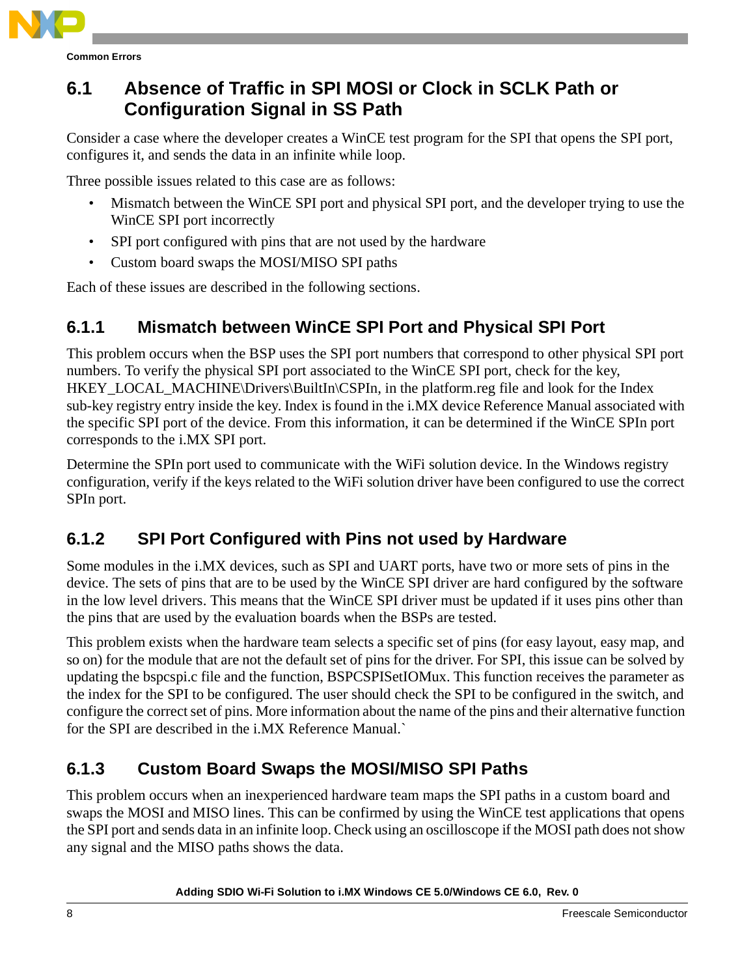

## **6.1 Absence of Traffic in SPI MOSI or Clock in SCLK Path or Configuration Signal in SS Path**

Consider a case where the developer creates a WinCE test program for the SPI that opens the SPI port, configures it, and sends the data in an infinite while loop.

Three possible issues related to this case are as follows:

- Mismatch between the WinCE SPI port and physical SPI port, and the developer trying to use the WinCE SPI port incorrectly
- SPI port configured with pins that are not used by the hardware
- Custom board swaps the MOSI/MISO SPI paths

Each of these issues are described in the following sections.

## **6.1.1 Mismatch between WinCE SPI Port and Physical SPI Port**

This problem occurs when the BSP uses the SPI port numbers that correspond to other physical SPI port numbers. To verify the physical SPI port associated to the WinCE SPI port, check for the key, HKEY\_LOCAL\_MACHINE\Drivers\BuiltIn\CSPIn, in the platform.reg file and look for the Index sub-key registry entry inside the key. Index is found in the i.MX device Reference Manual associated with the specific SPI port of the device. From this information, it can be determined if the WinCE SPIn port corresponds to the i.MX SPI port.

Determine the SPIn port used to communicate with the WiFi solution device. In the Windows registry configuration, verify if the keys related to the WiFi solution driver have been configured to use the correct SPIn port.

## **6.1.2 SPI Port Configured with Pins not used by Hardware**

Some modules in the i.MX devices, such as SPI and UART ports, have two or more sets of pins in the device. The sets of pins that are to be used by the WinCE SPI driver are hard configured by the software in the low level drivers. This means that the WinCE SPI driver must be updated if it uses pins other than the pins that are used by the evaluation boards when the BSPs are tested.

This problem exists when the hardware team selects a specific set of pins (for easy layout, easy map, and so on) for the module that are not the default set of pins for the driver. For SPI, this issue can be solved by updating the bspcspi.c file and the function, BSPCSPISetIOMux. This function receives the parameter as the index for the SPI to be configured. The user should check the SPI to be configured in the switch, and configure the correct set of pins. More information about the name of the pins and their alternative function for the SPI are described in the i.MX Reference Manual.`

## **6.1.3 Custom Board Swaps the MOSI/MISO SPI Paths**

This problem occurs when an inexperienced hardware team maps the SPI paths in a custom board and swaps the MOSI and MISO lines. This can be confirmed by using the WinCE test applications that opens the SPI port and sends data in an infinite loop. Check using an oscilloscope if the MOSI path does not show any signal and the MISO paths shows the data.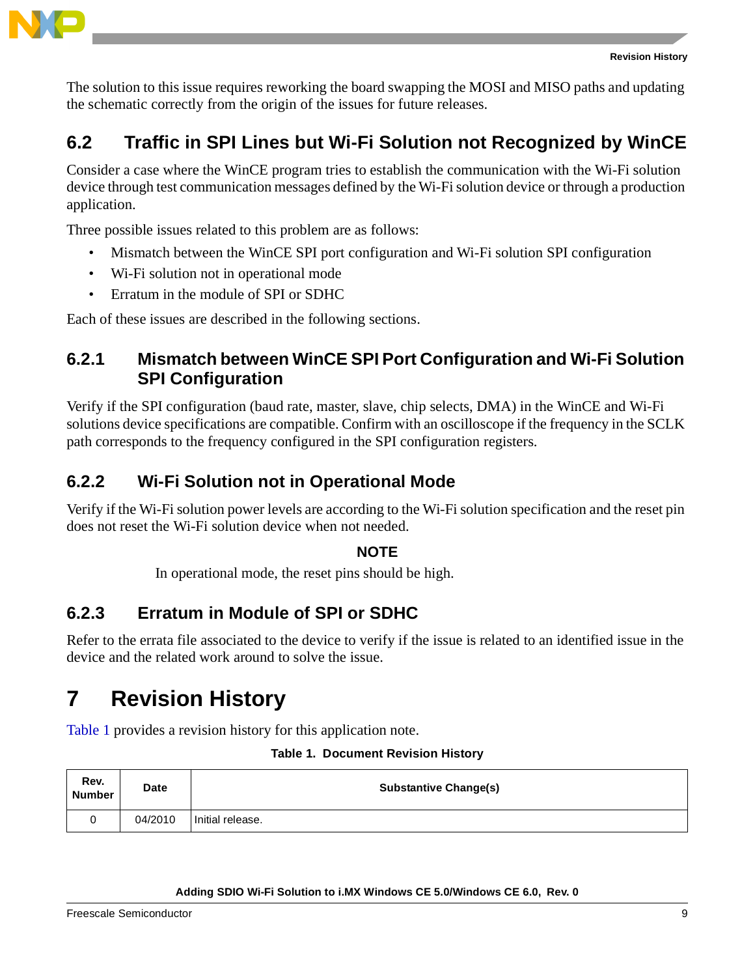

The solution to this issue requires reworking the board swapping the MOSI and MISO paths and updating the schematic correctly from the origin of the issues for future releases.

## **6.2 Traffic in SPI Lines but Wi-Fi Solution not Recognized by WinCE**

Consider a case where the WinCE program tries to establish the communication with the Wi-Fi solution device through test communication messages defined by the Wi-Fi solution device or through a production application.

Three possible issues related to this problem are as follows:

- Mismatch between the WinCE SPI port configuration and Wi-Fi solution SPI configuration
- Wi-Fi solution not in operational mode
- Erratum in the module of SPI or SDHC

Each of these issues are described in the following sections.

### **6.2.1 Mismatch between WinCE SPI Port Configuration and Wi-Fi Solution SPI Configuration**

Verify if the SPI configuration (baud rate, master, slave, chip selects, DMA) in the WinCE and Wi-Fi solutions device specifications are compatible. Confirm with an oscilloscope if the frequency in the SCLK path corresponds to the frequency configured in the SPI configuration registers.

### **6.2.2 Wi-Fi Solution not in Operational Mode**

Verify if the Wi-Fi solution power levels are according to the Wi-Fi solution specification and the reset pin does not reset the Wi-Fi solution device when not needed.

### **NOTE**

In operational mode, the reset pins should be high.

### **6.2.3 Erratum in Module of SPI or SDHC**

Refer to the errata file associated to the device to verify if the issue is related to an identified issue in the device and the related work around to solve the issue.

## <span id="page-8-0"></span>**7 Revision History**

<span id="page-8-1"></span>[Table 1](#page-8-1) provides a revision history for this application note.

### **Table 1. Document Revision History**

| Rev.<br><b>Number</b> | Date    | <b>Substantive Change(s)</b> |
|-----------------------|---------|------------------------------|
|                       | 04/2010 | Initial release.             |

### **Adding SDIO Wi-Fi Solution to i.MX Windows CE 5.0/Windows CE 6.0, Rev. 0**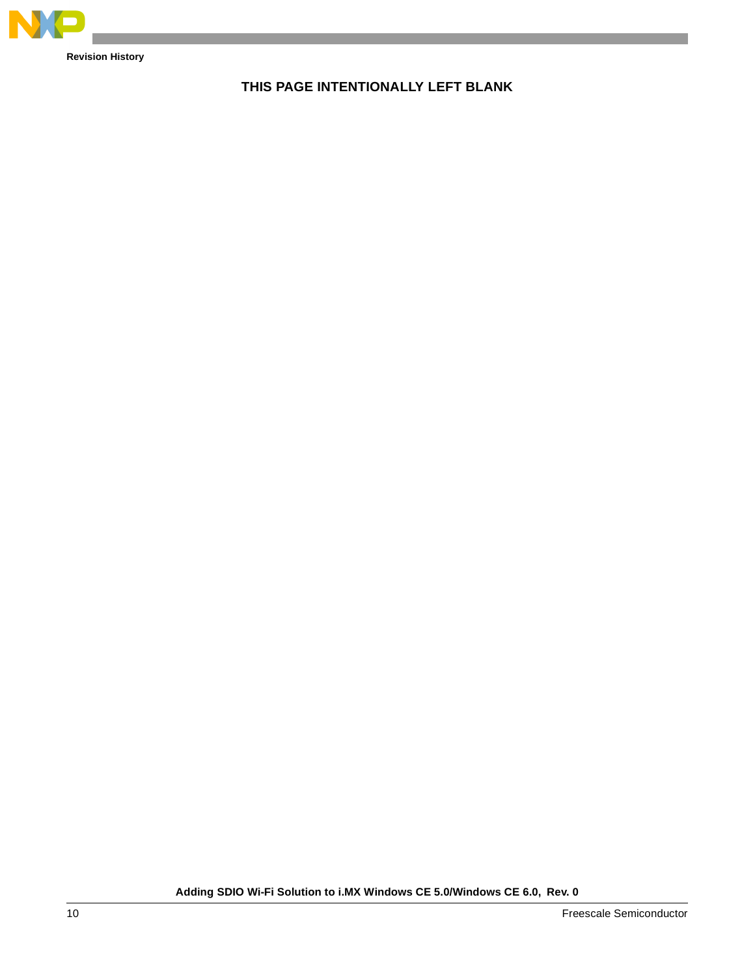

**Revision History**

### **THIS PAGE INTENTIONALLY LEFT BLANK**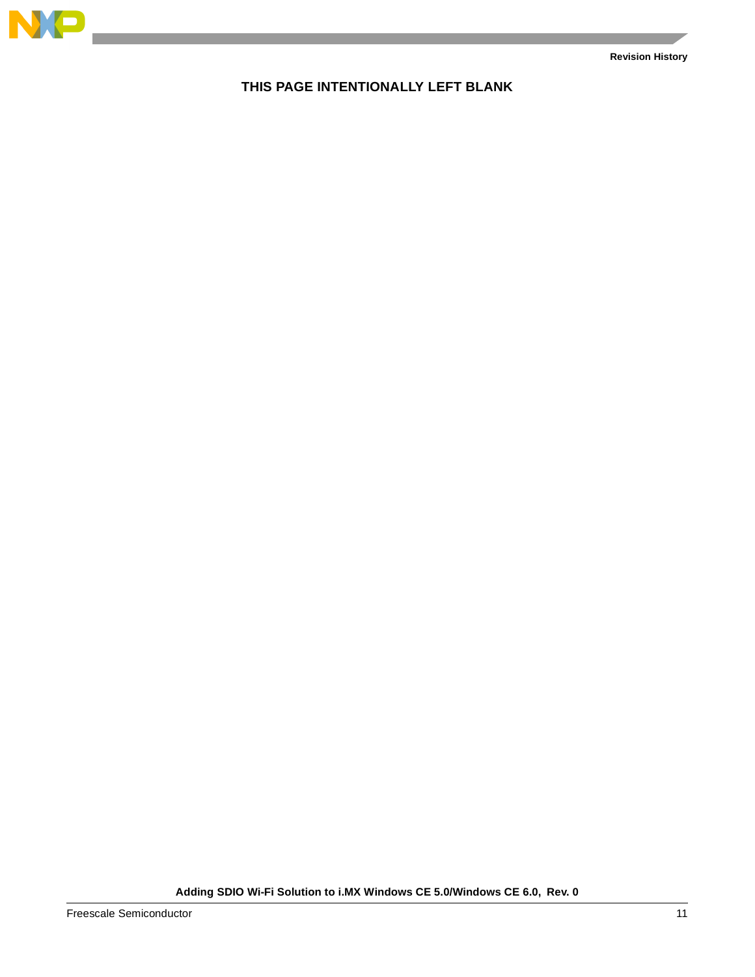

### **THIS PAGE INTENTIONALLY LEFT BLANK**